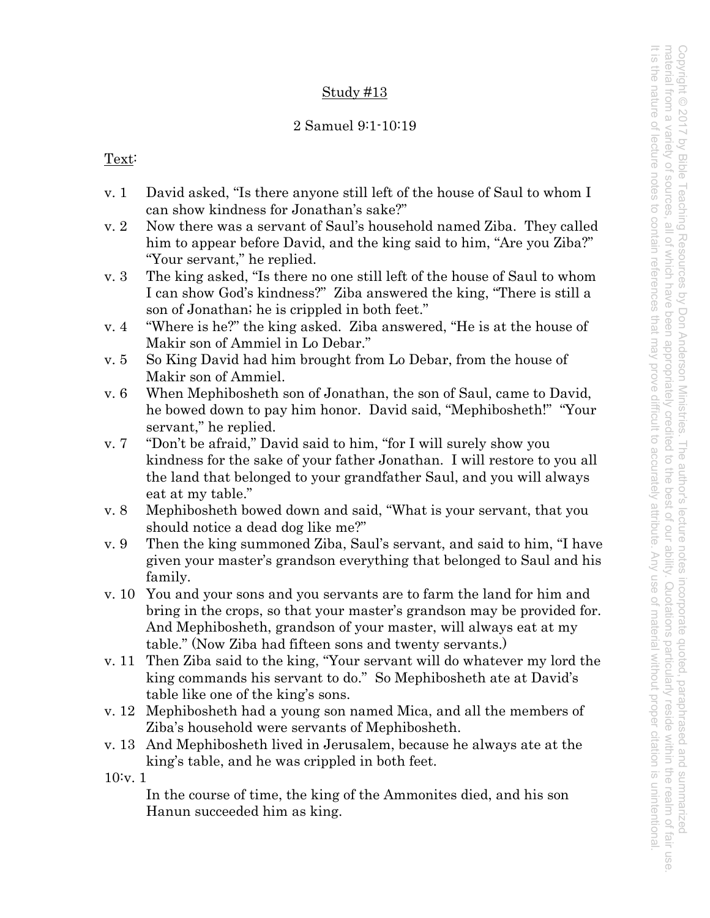# Study #13

# 2 Samuel 9:1-10:19

# Text:

- v. 1 David asked, "Is there anyone still left of the house of Saul to whom I can show kindness for Jonathan's sake?"
- v. 2 Now there was a servant of Saul's household named Ziba. They called him to appear before David, and the king said to him, "Are you Ziba?" "Your servant," he replied.
- v. 3 The king asked, "Is there no one still left of the house of Saul to whom I can show God's kindness?" Ziba answered the king, "There is still a son of Jonathan; he is crippled in both feet."
- v. 4 "Where is he?" the king asked. Ziba answered, "He is at the house of Makir son of Ammiel in Lo Debar."
- v. 5 So King David had him brought from Lo Debar, from the house of Makir son of Ammiel.
- v. 6 When Mephibosheth son of Jonathan, the son of Saul, came to David, he bowed down to pay him honor. David said, "Mephibosheth!" "Your servant," he replied.
- v. 7 "Don't be afraid," David said to him, "for I will surely show you kindness for the sake of your father Jonathan. I will restore to you all the land that belonged to your grandfather Saul, and you will always eat at my table."
- v. 8 Mephibosheth bowed down and said, "What is your servant, that you should notice a dead dog like me?"
- v. 9 Then the king summoned Ziba, Saul's servant, and said to him, "I have given your master's grandson everything that belonged to Saul and his family.
- v. 10 You and your sons and you servants are to farm the land for him and bring in the crops, so that your master's grandson may be provided for. And Mephibosheth, grandson of your master, will always eat at my table." (Now Ziba had fifteen sons and twenty servants.)
- v. 11 Then Ziba said to the king, "Your servant will do whatever my lord the king commands his servant to do." So Mephibosheth ate at David's table like one of the king's sons.
- v. 12 Mephibosheth had a young son named Mica, and all the members of Ziba's household were servants of Mephibosheth.
- v. 13 And Mephibosheth lived in Jerusalem, because he always ate at the king's table, and he was crippled in both feet.

10:v. 1

In the course of time, the king of the Ammonites died, and his son Hanun succeeded him as king.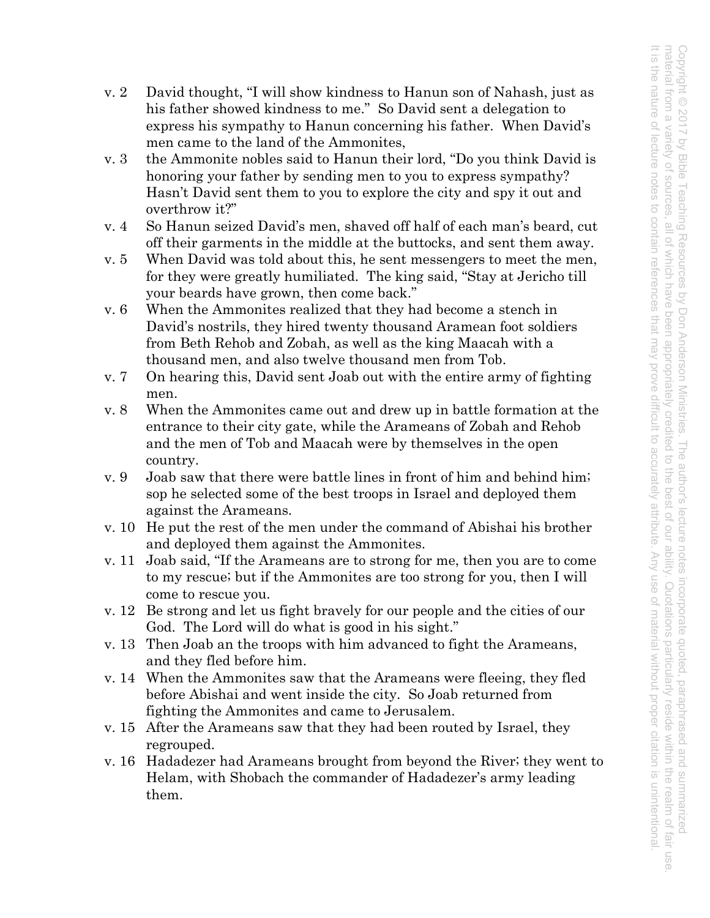- v. 2 David thought, "I will show kindness to Hanun son of Nahash, just as his father showed kindness to me." So David sent a delegation to express his sympathy to Hanun concerning his father. When David's men came to the land of the Ammonites,
- v. 3 the Ammonite nobles said to Hanun their lord, "Do you think David is honoring your father by sending men to you to express sympathy? Hasn't David sent them to you to explore the city and spy it out and overthrow it?"
- v. 4 So Hanun seized David's men, shaved off half of each man's beard, cut off their garments in the middle at the buttocks, and sent them away.
- v. 5 When David was told about this, he sent messengers to meet the men, for they were greatly humiliated. The king said, "Stay at Jericho till your beards have grown, then come back."
- v. 6 When the Ammonites realized that they had become a stench in David's nostrils, they hired twenty thousand Aramean foot soldiers from Beth Rehob and Zobah, as well as the king Maacah with a thousand men, and also twelve thousand men from Tob.
- v. 7 On hearing this, David sent Joab out with the entire army of fighting men.
- v. 8 When the Ammonites came out and drew up in battle formation at the entrance to their city gate, while the Arameans of Zobah and Rehob and the men of Tob and Maacah were by themselves in the open country.
- v. 9 Joab saw that there were battle lines in front of him and behind him; sop he selected some of the best troops in Israel and deployed them against the Arameans.
- v. 10 He put the rest of the men under the command of Abishai his brother and deployed them against the Ammonites.
- v. 11 Joab said, "If the Arameans are to strong for me, then you are to come to my rescue; but if the Ammonites are too strong for you, then I will come to rescue you.
- v. 12 Be strong and let us fight bravely for our people and the cities of our God. The Lord will do what is good in his sight."
- v. 13 Then Joab an the troops with him advanced to fight the Arameans, and they fled before him.
- v. 14 When the Ammonites saw that the Arameans were fleeing, they fled before Abishai and went inside the city. So Joab returned from fighting the Ammonites and came to Jerusalem.
- v. 15 After the Arameans saw that they had been routed by Israel, they regrouped.
- v. 16 Hadadezer had Arameans brought from beyond the River; they went to Helam, with Shobach the commander of Hadadezer's army leading them.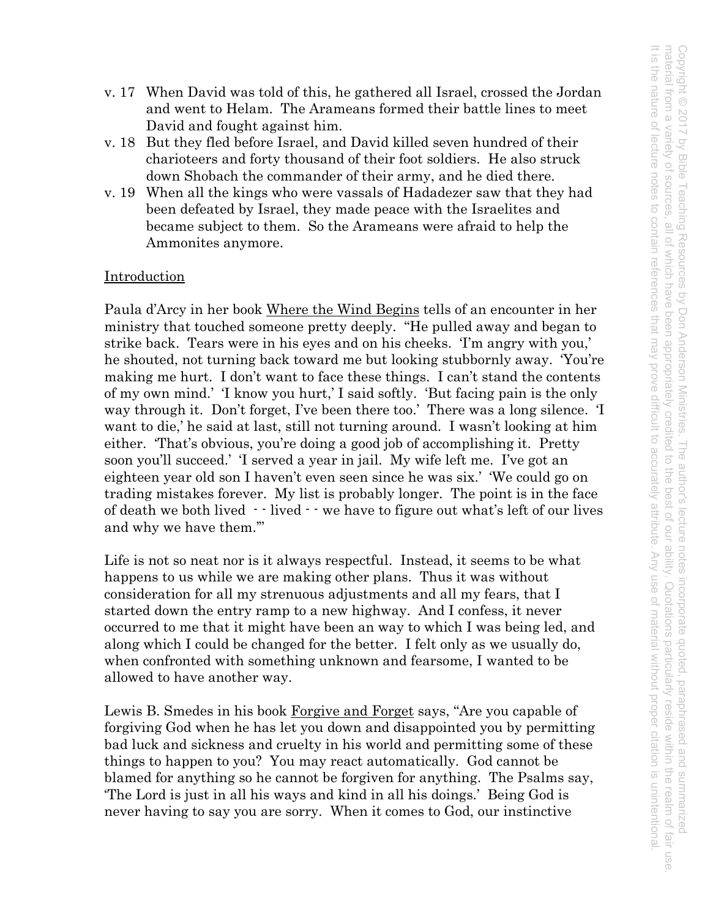- v. 17 When David was told of this, he gathered all Israel, crossed the Jordan and went to Helam. The Arameans formed their battle lines to meet David and fought against him.
- v. 18 But they fled before Israel, and David killed seven hundred of their charioteers and forty thousand of their foot soldiers. He also struck down Shobach the commander of their army, and he died there.
- v. 19 When all the kings who were vassals of Hadadezer saw that they had been defeated by Israel, they made peace with the Israelites and became subject to them. So the Arameans were afraid to help the Ammonites anymore.

## Introduction

Paula d'Arcy in her book Where the Wind Begins tells of an encounter in her ministry that touched someone pretty deeply. "He pulled away and began to strike back. Tears were in his eyes and on his cheeks. 'I'm angry with you,' he shouted, not turning back toward me but looking stubbornly away. 'You're making me hurt. I don't want to face these things. I can't stand the contents of my own mind.' 'I know you hurt,' I said softly. 'But facing pain is the only way through it. Don't forget, I've been there too.' There was a long silence. 'I want to die,' he said at last, still not turning around. I wasn't looking at him either. 'That's obvious, you're doing a good job of accomplishing it. Pretty soon you'll succeed.' 'I served a year in jail. My wife left me. I've got an eighteen year old son I haven't even seen since he was six.' 'We could go on trading mistakes forever. My list is probably longer. The point is in the face of death we both lived  $\cdot$  lived  $\cdot$  we have to figure out what's left of our lives and why we have them.'"

Life is not so neat nor is it always respectful. Instead, it seems to be what happens to us while we are making other plans. Thus it was without consideration for all my strenuous adjustments and all my fears, that I started down the entry ramp to a new highway. And I confess, it never occurred to me that it might have been an way to which I was being led, and along which I could be changed for the better. I felt only as we usually do, when confronted with something unknown and fearsome, I wanted to be allowed to have another way.

Lewis B. Smedes in his book Forgive and Forget says, "Are you capable of forgiving God when he has let you down and disappointed you by permitting bad luck and sickness and cruelty in his world and permitting some of these things to happen to you? You may react automatically. God cannot be blamed for anything so he cannot be forgiven for anything. The Psalms say, 'The Lord is just in all his ways and kind in all his doings.' Being God is never having to say you are sorry. When it comes to God, our instinctive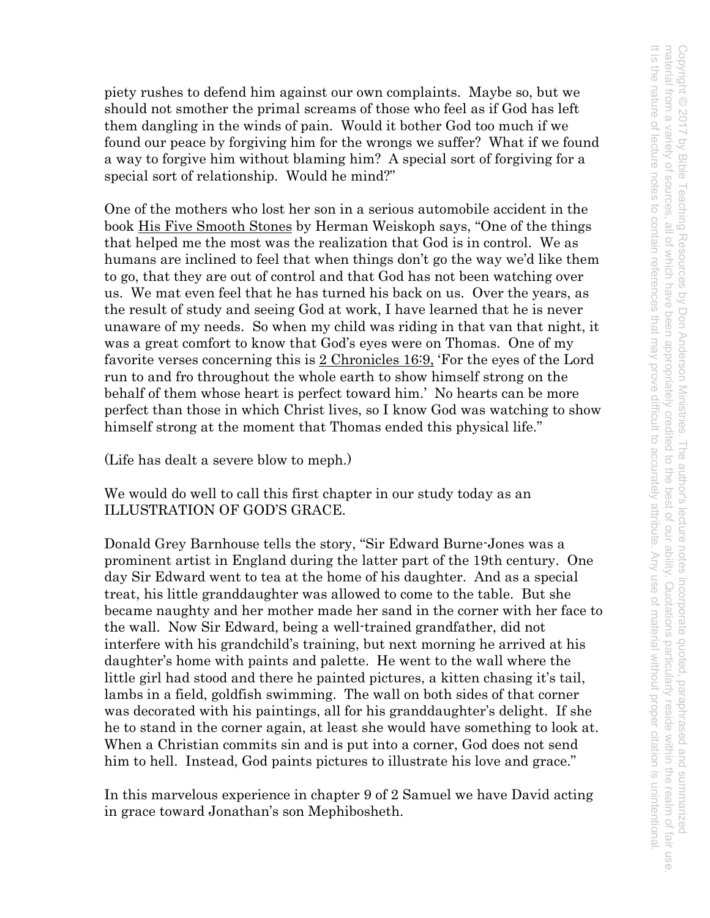Copyright © 2017 by Bible Teaching Resources by Don Anderson Ministries. The author's lecture notes incorporate quoted, paraphrased and summarized<br>material from a variety of sources, all of which have been appropriately cr It is the nature of lecture notes to contain references material from a variety of sources, all of the which have been appropriately credited to the best of courses, all of the interval of the set of the set of the been abdeniately reside with reside with reside within the real Copyright © 2017 by Bible Teaching Resources by Don Anderson Ministries. The author's lecture notes incorporate quoted, paraphrased and summarized It is the nature of lecture notes to contain references that may prove difficult to accurately attribute. Any use of material without proper citation is unintentional., all of which have been appropriately credited to the best of our ability. Quotations particularly reside within the realm of fair use that may prove difficult to accurately attribute Any use of material without proper citation is unintentional

piety rushes to defend him against our own complaints. Maybe so, but we should not smother the primal screams of those who feel as if God has left them dangling in the winds of pain. Would it bother God too much if we found our peace by forgiving him for the wrongs we suffer? What if we found a way to forgive him without blaming him? A special sort of forgiving for a special sort of relationship. Would he mind?"

One of the mothers who lost her son in a serious automobile accident in the book His Five Smooth Stones by Herman Weiskoph says, "One of the things that helped me the most was the realization that God is in control. We as humans are inclined to feel that when things don't go the way we'd like them to go, that they are out of control and that God has not been watching over us. We mat even feel that he has turned his back on us. Over the years, as the result of study and seeing God at work, I have learned that he is never unaware of my needs. So when my child was riding in that van that night, it was a great comfort to know that God's eyes were on Thomas. One of my favorite verses concerning this is 2 Chronicles 16:9, 'For the eyes of the Lord run to and fro throughout the whole earth to show himself strong on the behalf of them whose heart is perfect toward him.' No hearts can be more perfect than those in which Christ lives, so I know God was watching to show himself strong at the moment that Thomas ended this physical life."

(Life has dealt a severe blow to meph.)

We would do well to call this first chapter in our study today as an ILLUSTRATION OF GOD'S GRACE.

Donald Grey Barnhouse tells the story, "Sir Edward Burne-Jones was a prominent artist in England during the latter part of the 19th century. One day Sir Edward went to tea at the home of his daughter. And as a special treat, his little granddaughter was allowed to come to the table. But she became naughty and her mother made her sand in the corner with her face to the wall. Now Sir Edward, being a well-trained grandfather, did not interfere with his grandchild's training, but next morning he arrived at his daughter's home with paints and palette. He went to the wall where the little girl had stood and there he painted pictures, a kitten chasing it's tail, lambs in a field, goldfish swimming. The wall on both sides of that corner was decorated with his paintings, all for his granddaughter's delight. If she he to stand in the corner again, at least she would have something to look at. When a Christian commits sin and is put into a corner, God does not send him to hell. Instead, God paints pictures to illustrate his love and grace."

In this marvelous experience in chapter 9 of 2 Samuel we have David acting in grace toward Jonathan's son Mephibosheth.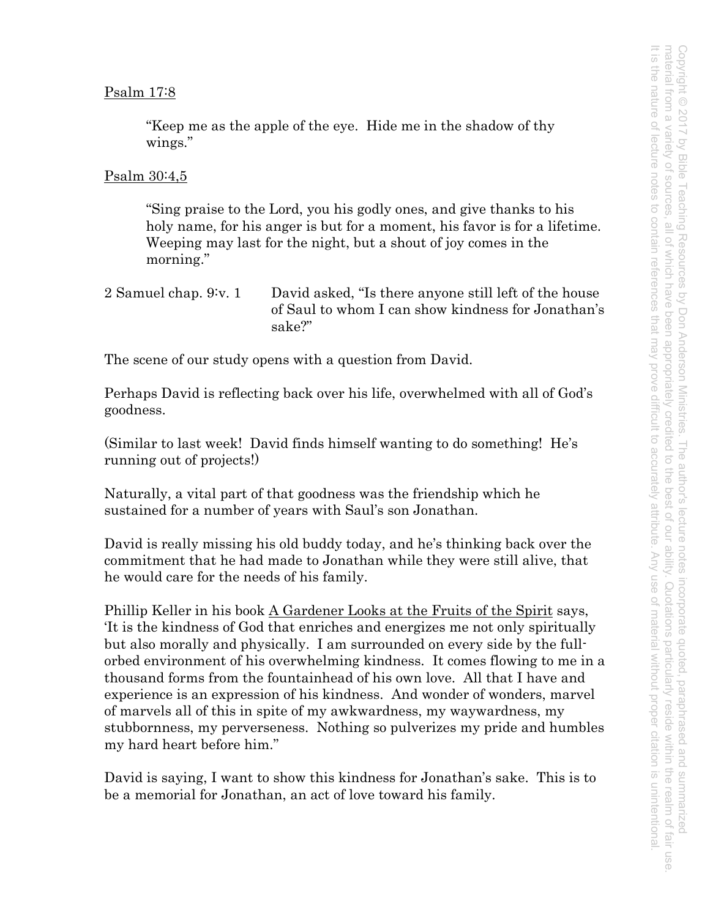#### Psalm 17:8

"Keep me as the apple of the eye. Hide me in the shadow of thy wings."

#### Psalm 30:4,5

"Sing praise to the Lord, you his godly ones, and give thanks to his holy name, for his anger is but for a moment, his favor is for a lifetime. Weeping may last for the night, but a shout of joy comes in the morning."

2 Samuel chap. 9: v. 1 David asked, "Is there anyone still left of the house of Saul to whom I can show kindness for Jonathan's sake?"

The scene of our study opens with a question from David.

Perhaps David is reflecting back over his life, overwhelmed with all of God's goodness.

(Similar to last week! David finds himself wanting to do something! He's running out of projects!)

Naturally, a vital part of that goodness was the friendship which he sustained for a number of years with Saul's son Jonathan.

David is really missing his old buddy today, and he's thinking back over the commitment that he had made to Jonathan while they were still alive, that he would care for the needs of his family.

Phillip Keller in his book A Gardener Looks at the Fruits of the Spirit says, 'It is the kindness of God that enriches and energizes me not only spiritually but also morally and physically. I am surrounded on every side by the fullorbed environment of his overwhelming kindness. It comes flowing to me in a thousand forms from the fountainhead of his own love. All that I have and experience is an expression of his kindness. And wonder of wonders, marvel of marvels all of this in spite of my awkwardness, my waywardness, my stubbornness, my perverseness. Nothing so pulverizes my pride and humbles my hard heart before him."

David is saying, I want to show this kindness for Jonathan's sake. This is to be a memorial for Jonathan, an act of love toward his family.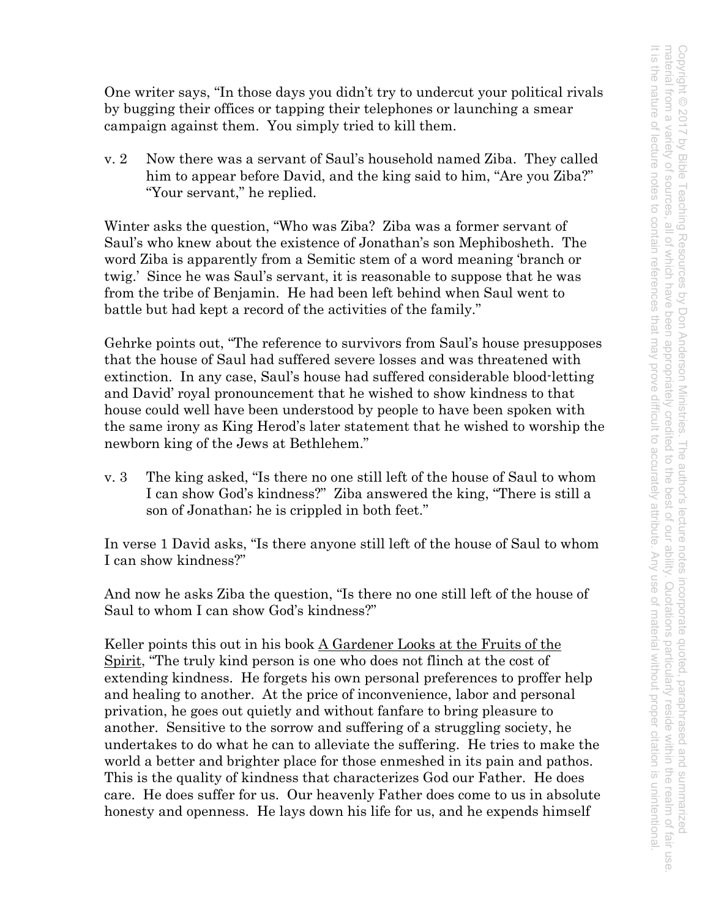One writer says, "In those days you didn't try to undercut your political rivals by bugging their offices or tapping their telephones or launching a smear campaign against them. You simply tried to kill them.

v. 2 Now there was a servant of Saul's household named Ziba. They called him to appear before David, and the king said to him, "Are you Ziba?" "Your servant," he replied.

Winter asks the question, "Who was Ziba? Ziba was a former servant of Saul's who knew about the existence of Jonathan's son Mephibosheth. The word Ziba is apparently from a Semitic stem of a word meaning 'branch or twig.' Since he was Saul's servant, it is reasonable to suppose that he was from the tribe of Benjamin. He had been left behind when Saul went to battle but had kept a record of the activities of the family."

Gehrke points out, "The reference to survivors from Saul's house presupposes that the house of Saul had suffered severe losses and was threatened with extinction. In any case, Saul's house had suffered considerable blood-letting and David' royal pronouncement that he wished to show kindness to that house could well have been understood by people to have been spoken with the same irony as King Herod's later statement that he wished to worship the newborn king of the Jews at Bethlehem."

v. 3 The king asked, "Is there no one still left of the house of Saul to whom I can show God's kindness?" Ziba answered the king, "There is still a son of Jonathan; he is crippled in both feet."

In verse 1 David asks, "Is there anyone still left of the house of Saul to whom I can show kindness?"

And now he asks Ziba the question, "Is there no one still left of the house of Saul to whom I can show God's kindness?"

Keller points this out in his book A Gardener Looks at the Fruits of the Spirit, "The truly kind person is one who does not flinch at the cost of extending kindness. He forgets his own personal preferences to proffer help and healing to another. At the price of inconvenience, labor and personal privation, he goes out quietly and without fanfare to bring pleasure to another. Sensitive to the sorrow and suffering of a struggling society, he undertakes to do what he can to alleviate the suffering. He tries to make the world a better and brighter place for those enmeshed in its pain and pathos. This is the quality of kindness that characterizes God our Father. He does care. He does suffer for us. Our heavenly Father does come to us in absolute honesty and openness. He lays down his life for us, and he expends himself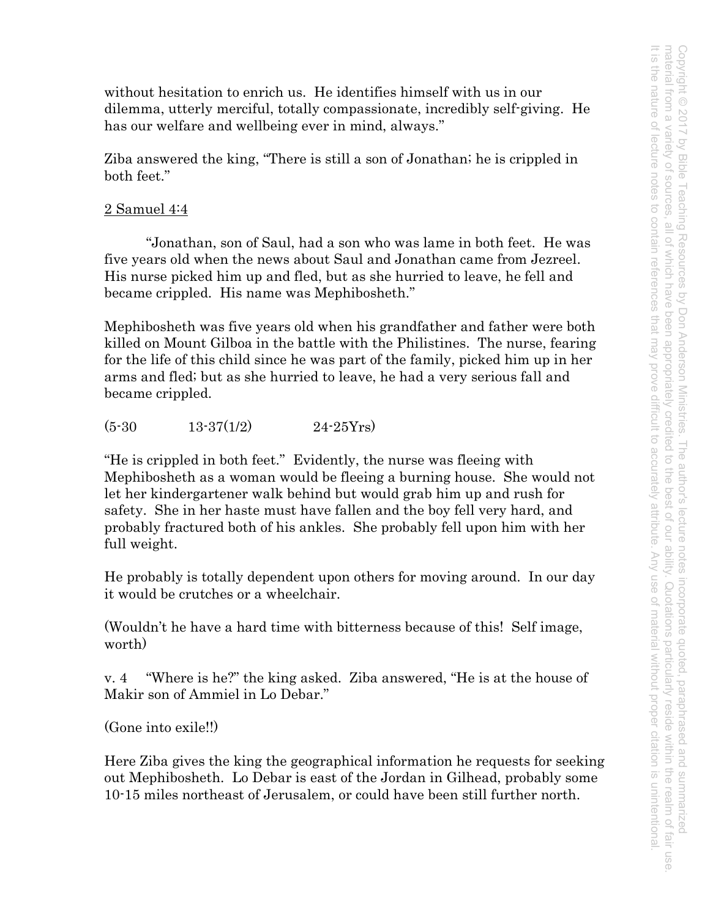without hesitation to enrich us. He identifies himself with us in our dilemma, utterly merciful, totally compassionate, incredibly self-giving. He has our welfare and wellbeing ever in mind, always."

Ziba answered the king, "There is still a son of Jonathan; he is crippled in both feet."

# 2 Samuel 4:4

"Jonathan, son of Saul, had a son who was lame in both feet. He was five years old when the news about Saul and Jonathan came from Jezreel. His nurse picked him up and fled, but as she hurried to leave, he fell and became crippled. His name was Mephibosheth."

Mephibosheth was five years old when his grandfather and father were both killed on Mount Gilboa in the battle with the Philistines. The nurse, fearing for the life of this child since he was part of the family, picked him up in her arms and fled; but as she hurried to leave, he had a very serious fall and became crippled.

 $(5-30$  13-37(1/2) 24-25Yrs)

"He is crippled in both feet." Evidently, the nurse was fleeing with Mephibosheth as a woman would be fleeing a burning house. She would not let her kindergartener walk behind but would grab him up and rush for safety. She in her haste must have fallen and the boy fell very hard, and probably fractured both of his ankles. She probably fell upon him with her full weight.

He probably is totally dependent upon others for moving around. In our day it would be crutches or a wheelchair.

(Wouldn't he have a hard time with bitterness because of this! Self image, worth)

v. 4 "Where is he?" the king asked. Ziba answered, "He is at the house of Makir son of Ammiel in Lo Debar."

(Gone into exile!!)

Here Ziba gives the king the geographical information he requests for seeking out Mephibosheth. Lo Debar is east of the Jordan in Gilhead, probably some 10-15 miles northeast of Jerusalem, or could have been still further north.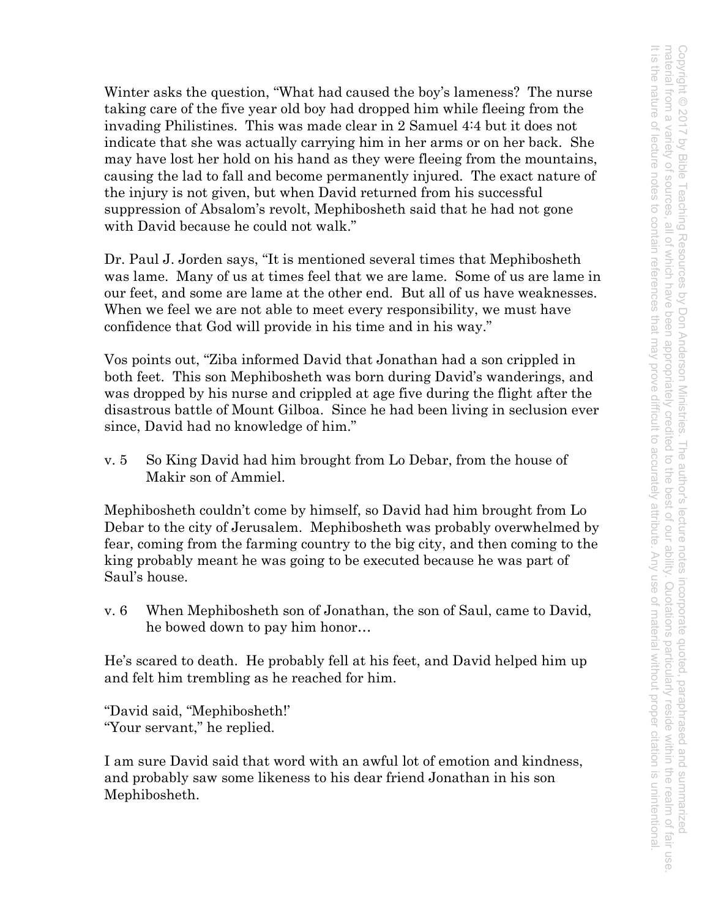Winter asks the question, "What had caused the boy's lameness? The nurse taking care of the five year old boy had dropped him while fleeing from the invading Philistines. This was made clear in 2 Samuel 4:4 but it does not indicate that she was actually carrying him in her arms or on her back. She may have lost her hold on his hand as they were fleeing from the mountains, causing the lad to fall and become permanently injured. The exact nature of the injury is not given, but when David returned from his successful suppression of Absalom's revolt, Mephibosheth said that he had not gone with David because he could not walk."

Dr. Paul J. Jorden says, "It is mentioned several times that Mephibosheth was lame. Many of us at times feel that we are lame. Some of us are lame in our feet, and some are lame at the other end. But all of us have weaknesses. When we feel we are not able to meet every responsibility, we must have confidence that God will provide in his time and in his way."

Vos points out, "Ziba informed David that Jonathan had a son crippled in both feet. This son Mephibosheth was born during David's wanderings, and was dropped by his nurse and crippled at age five during the flight after the disastrous battle of Mount Gilboa. Since he had been living in seclusion ever since, David had no knowledge of him."

v. 5 So King David had him brought from Lo Debar, from the house of Makir son of Ammiel.

Mephibosheth couldn't come by himself, so David had him brought from Lo Debar to the city of Jerusalem. Mephibosheth was probably overwhelmed by fear, coming from the farming country to the big city, and then coming to the king probably meant he was going to be executed because he was part of Saul's house.

v. 6 When Mephibosheth son of Jonathan, the son of Saul, came to David, he bowed down to pay him honor…

He's scared to death. He probably fell at his feet, and David helped him up and felt him trembling as he reached for him.

"David said, "Mephibosheth!' "Your servant," he replied.

I am sure David said that word with an awful lot of emotion and kindness, and probably saw some likeness to his dear friend Jonathan in his son Mephibosheth.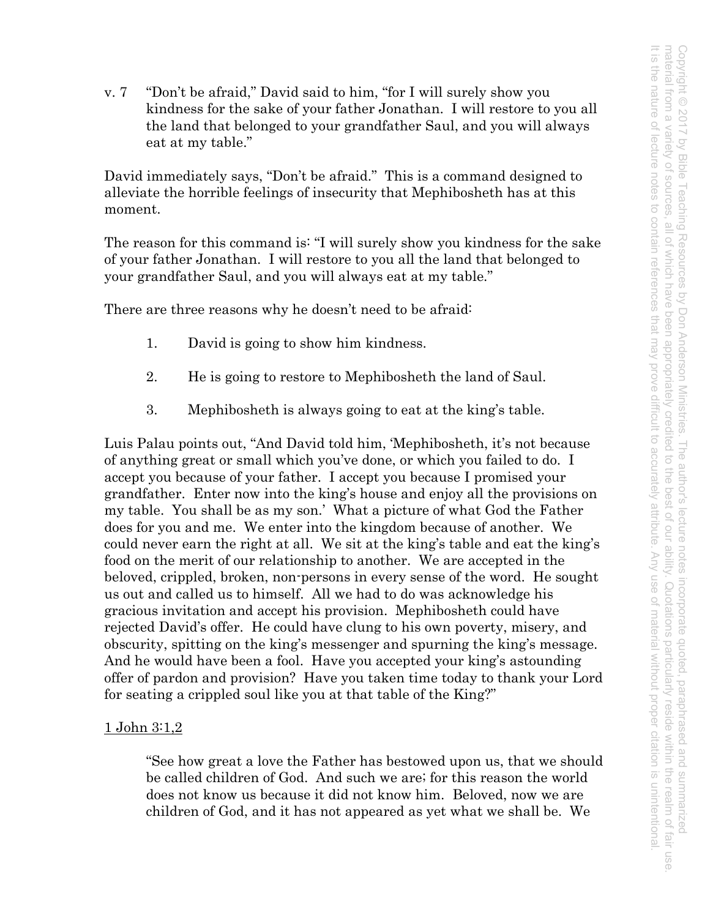v. 7 "Don't be afraid," David said to him, "for I will surely show you kindness for the sake of your father Jonathan. I will restore to you all the land that belonged to your grandfather Saul, and you will always eat at my table."

David immediately says, "Don't be afraid." This is a command designed to alleviate the horrible feelings of insecurity that Mephibosheth has at this moment.

The reason for this command is: "I will surely show you kindness for the sake of your father Jonathan. I will restore to you all the land that belonged to your grandfather Saul, and you will always eat at my table."

There are three reasons why he doesn't need to be afraid:

- 1. David is going to show him kindness.
- 2. He is going to restore to Mephibosheth the land of Saul.
- 3. Mephibosheth is always going to eat at the king's table.

Luis Palau points out, "And David told him, 'Mephibosheth, it's not because of anything great or small which you've done, or which you failed to do. I accept you because of your father. I accept you because I promised your grandfather. Enter now into the king's house and enjoy all the provisions on my table. You shall be as my son.' What a picture of what God the Father does for you and me. We enter into the kingdom because of another. We could never earn the right at all. We sit at the king's table and eat the king's food on the merit of our relationship to another. We are accepted in the beloved, crippled, broken, non-persons in every sense of the word. He sought us out and called us to himself. All we had to do was acknowledge his gracious invitation and accept his provision. Mephibosheth could have rejected David's offer. He could have clung to his own poverty, misery, and obscurity, spitting on the king's messenger and spurning the king's message. And he would have been a fool. Have you accepted your king's astounding offer of pardon and provision? Have you taken time today to thank your Lord for seating a crippled soul like you at that table of the King?"

# <u>1 John 3:1,2</u>

"See how great a love the Father has bestowed upon us, that we should be called children of God. And such we are; for this reason the world does not know us because it did not know him. Beloved, now we are children of God, and it has not appeared as yet what we shall be. We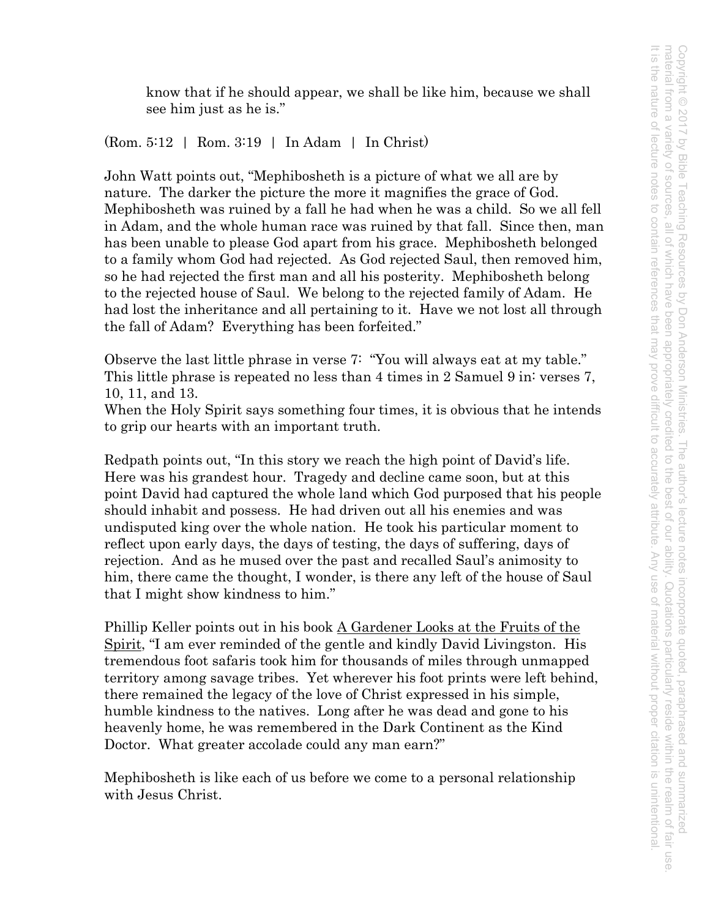know that if he should appear, we shall be like him, because we shall see him just as he is."

(Rom. 5:12 | Rom. 3:19 | In Adam | In Christ)

John Watt points out, "Mephibosheth is a picture of what we all are by nature. The darker the picture the more it magnifies the grace of God. Mephibosheth was ruined by a fall he had when he was a child. So we all fell in Adam, and the whole human race was ruined by that fall. Since then, man has been unable to please God apart from his grace. Mephibosheth belonged to a family whom God had rejected. As God rejected Saul, then removed him, so he had rejected the first man and all his posterity. Mephibosheth belong to the rejected house of Saul. We belong to the rejected family of Adam. He had lost the inheritance and all pertaining to it. Have we not lost all through the fall of Adam? Everything has been forfeited."

Observe the last little phrase in verse 7: "You will always eat at my table." This little phrase is repeated no less than 4 times in 2 Samuel 9 in: verses 7, 10, 11, and 13.

When the Holy Spirit says something four times, it is obvious that he intends to grip our hearts with an important truth.

Redpath points out, "In this story we reach the high point of David's life. Here was his grandest hour. Tragedy and decline came soon, but at this point David had captured the whole land which God purposed that his people should inhabit and possess. He had driven out all his enemies and was undisputed king over the whole nation. He took his particular moment to reflect upon early days, the days of testing, the days of suffering, days of rejection. And as he mused over the past and recalled Saul's animosity to him, there came the thought, I wonder, is there any left of the house of Saul that I might show kindness to him."

Phillip Keller points out in his book A Gardener Looks at the Fruits of the Spirit, "I am ever reminded of the gentle and kindly David Livingston. His tremendous foot safaris took him for thousands of miles through unmapped territory among savage tribes. Yet wherever his foot prints were left behind, there remained the legacy of the love of Christ expressed in his simple, humble kindness to the natives. Long after he was dead and gone to his heavenly home, he was remembered in the Dark Continent as the Kind Doctor. What greater accolade could any man earn?"

Mephibosheth is like each of us before we come to a personal relationship with Jesus Christ.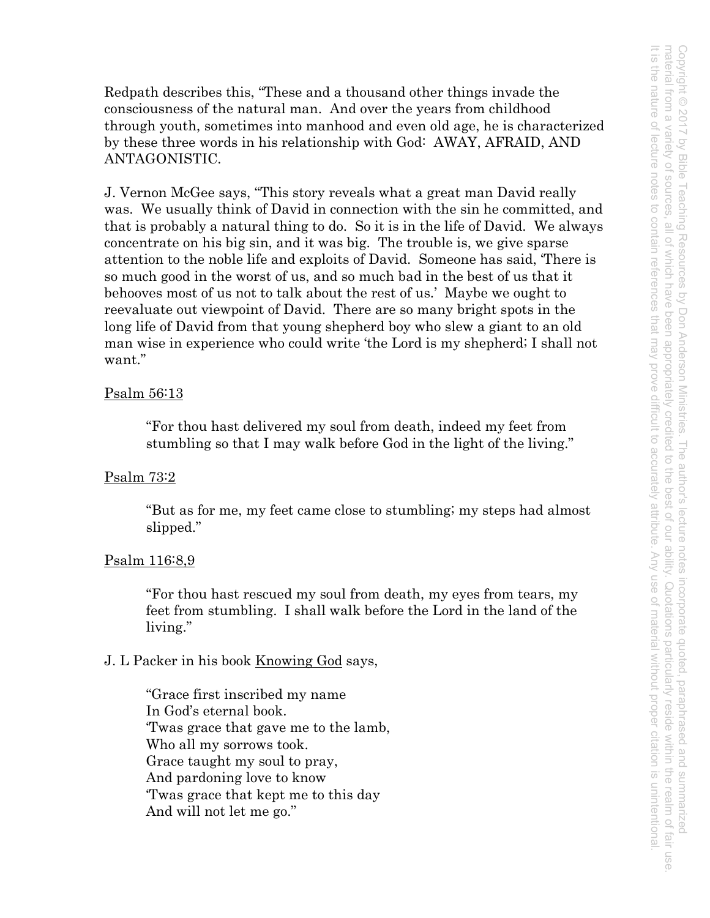Redpath describes this, "These and a thousand other things invade the consciousness of the natural man. And over the years from childhood through youth, sometimes into manhood and even old age, he is characterized by these three words in his relationship with God: AWAY, AFRAID, AND ANTAGONISTIC.

J. Vernon McGee says, "This story reveals what a great man David really was. We usually think of David in connection with the sin he committed, and that is probably a natural thing to do. So it is in the life of David. We always concentrate on his big sin, and it was big. The trouble is, we give sparse attention to the noble life and exploits of David. Someone has said, 'There is so much good in the worst of us, and so much bad in the best of us that it behooves most of us not to talk about the rest of us.' Maybe we ought to reevaluate out viewpoint of David. There are so many bright spots in the long life of David from that young shepherd boy who slew a giant to an old man wise in experience who could write 'the Lord is my shepherd; I shall not want."

### Psalm 56:13

"For thou hast delivered my soul from death, indeed my feet from stumbling so that I may walk before God in the light of the living."

## Psalm 73:2

"But as for me, my feet came close to stumbling; my steps had almost slipped."

#### Psalm 116:8,9

"For thou hast rescued my soul from death, my eyes from tears, my feet from stumbling. I shall walk before the Lord in the land of the living."

## J. L Packer in his book <u>Knowing God</u> says,

"Grace first inscribed my name In God's eternal book. 'Twas grace that gave me to the lamb, Who all my sorrows took. Grace taught my soul to pray, And pardoning love to know 'Twas grace that kept me to this day And will not let me go."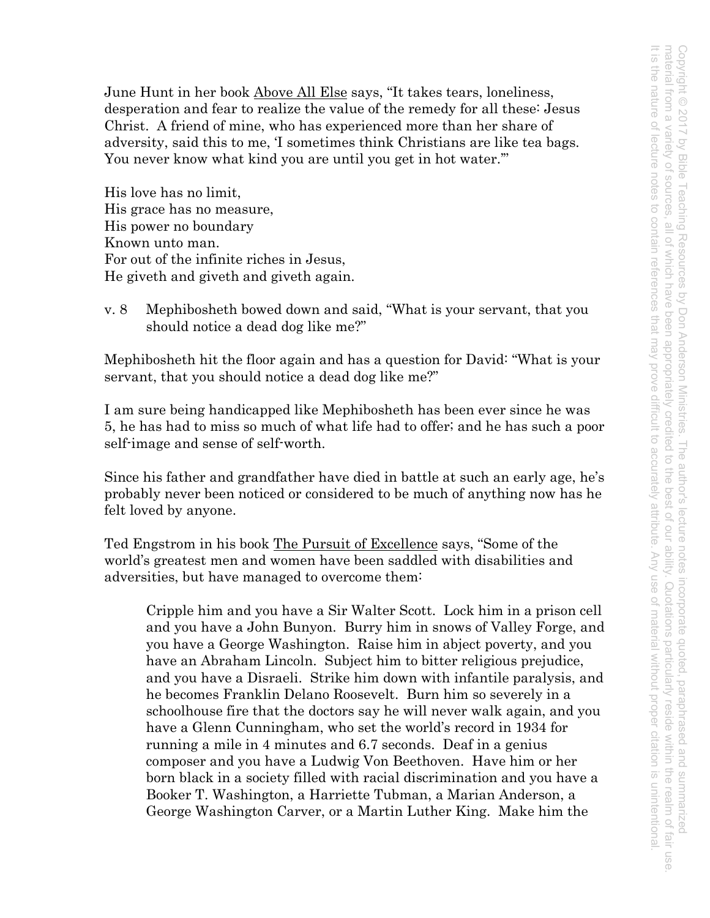June Hunt in her book Above All Else says, "It takes tears, loneliness, desperation and fear to realize the value of the remedy for all these: Jesus Christ. A friend of mine, who has experienced more than her share of adversity, said this to me, 'I sometimes think Christians are like tea bags. You never know what kind you are until you get in hot water.'"

His love has no limit, His grace has no measure, His power no boundary Known unto man. For out of the infinite riches in Jesus, He giveth and giveth and giveth again.

v. 8 Mephibosheth bowed down and said, "What is your servant, that you should notice a dead dog like me?"

Mephibosheth hit the floor again and has a question for David: "What is your servant, that you should notice a dead dog like me?"

I am sure being handicapped like Mephibosheth has been ever since he was 5, he has had to miss so much of what life had to offer; and he has such a poor self-image and sense of self-worth.

Since his father and grandfather have died in battle at such an early age, he's probably never been noticed or considered to be much of anything now has he felt loved by anyone.

Ted Engstrom in his book The Pursuit of Excellence says, "Some of the world's greatest men and women have been saddled with disabilities and adversities, but have managed to overcome them:

Cripple him and you have a Sir Walter Scott. Lock him in a prison cell and you have a John Bunyon. Burry him in snows of Valley Forge, and you have a George Washington. Raise him in abject poverty, and you have an Abraham Lincoln. Subject him to bitter religious prejudice, and you have a Disraeli. Strike him down with infantile paralysis, and he becomes Franklin Delano Roosevelt. Burn him so severely in a schoolhouse fire that the doctors say he will never walk again, and you have a Glenn Cunningham, who set the world's record in 1934 for running a mile in 4 minutes and 6.7 seconds. Deaf in a genius composer and you have a Ludwig Von Beethoven. Have him or her born black in a society filled with racial discrimination and you have a Booker T. Washington, a Harriette Tubman, a Marian Anderson, a George Washington Carver, or a Martin Luther King. Make him the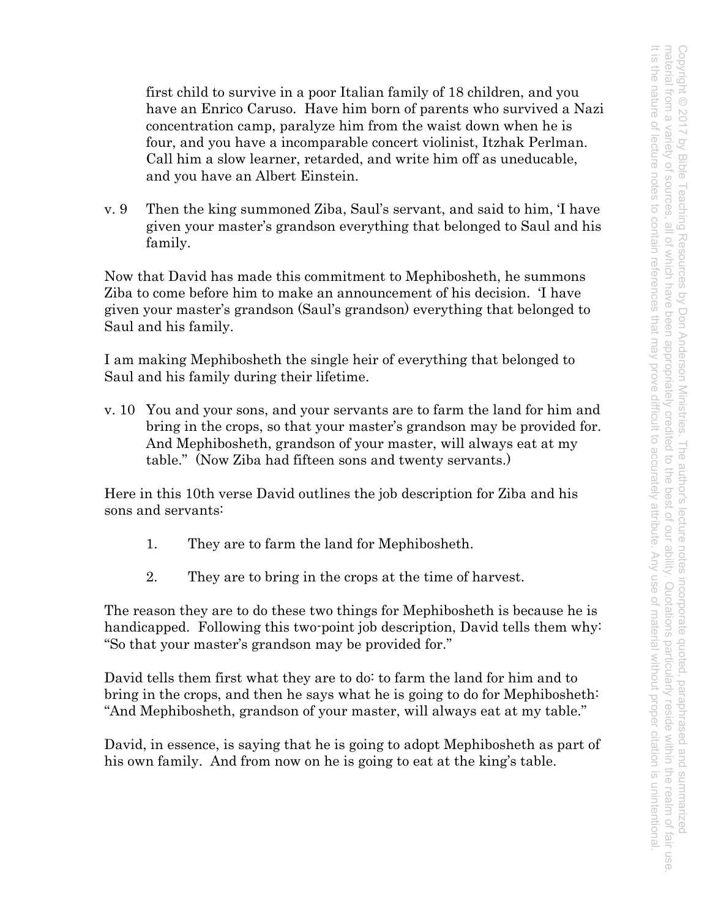first child to survive in a poor Italian family of 18 children, and you have an Enrico Caruso. Have him born of parents who survived a Nazi concentration camp, paralyze him from the waist down when he is four, and you have a incomparable concert violinist, Itzhak Perlman. Call him a slow learner, retarded, and write him off as uneducable, and you have an Albert Einstein.

v. 9 Then the king summoned Ziba, Saul's servant, and said to him, 'I have given your master's grandson everything that belonged to Saul and his family.

Now that David has made this commitment to Mephibosheth, he summons Ziba to come before him to make an announcement of his decision. 'I have given your master's grandson (Saul's grandson) everything that belonged to Saul and his family.

I am making Mephibosheth the single heir of everything that belonged to Saul and his family during their lifetime.

v. 10 You and your sons, and your servants are to farm the land for him and bring in the crops, so that your master's grandson may be provided for. And Mephibosheth, grandson of your master, will always eat at my table." (Now Ziba had fifteen sons and twenty servants.)

Here in this 10th verse David outlines the job description for Ziba and his sons and servants:

- 1. They are to farm the land for Mephibosheth.
- 2. They are to bring in the crops at the time of harvest.

The reason they are to do these two things for Mephibosheth is because he is handicapped. Following this two-point job description, David tells them why: "So that your master's grandson may be provided for."

David tells them first what they are to do: to farm the land for him and to bring in the crops, and then he says what he is going to do for Mephibosheth: "And Mephibosheth, grandson of your master, will always eat at my table."

David, in essence, is saying that he is going to adopt Mephibosheth as part of his own family. And from now on he is going to eat at the king's table.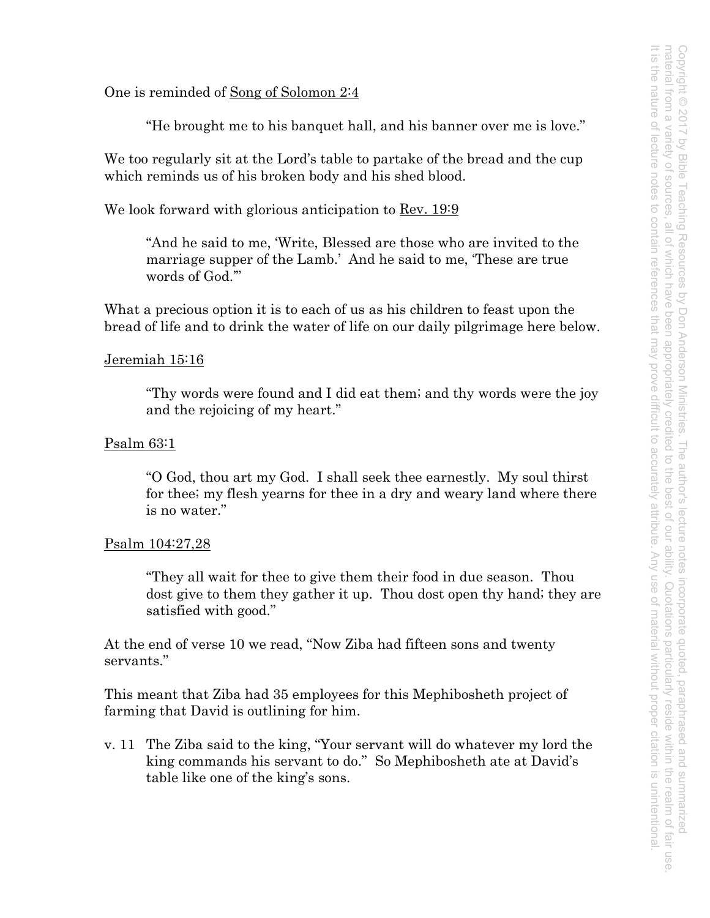One is reminded of Song of Solomon 2:4

"He brought me to his banquet hall, and his banner over me is love."

We too regularly sit at the Lord's table to partake of the bread and the cup which reminds us of his broken body and his shed blood.

We look forward with glorious anticipation to Rev. 19:9

"And he said to me, 'Write, Blessed are those who are invited to the marriage supper of the Lamb.' And he said to me, 'These are true words of God.'"

What a precious option it is to each of us as his children to feast upon the bread of life and to drink the water of life on our daily pilgrimage here below.

#### Jeremiah 15:16

"Thy words were found and I did eat them; and thy words were the joy and the rejoicing of my heart."

#### Psalm 63:1

"O God, thou art my God. I shall seek thee earnestly. My soul thirst for thee; my flesh yearns for thee in a dry and weary land where there is no water."

#### Psalm 104:27,28

"They all wait for thee to give them their food in due season. Thou dost give to them they gather it up. Thou dost open thy hand; they are satisfied with good."

At the end of verse 10 we read, "Now Ziba had fifteen sons and twenty servants."

This meant that Ziba had 35 employees for this Mephibosheth project of farming that David is outlining for him.

v. 11 The Ziba said to the king, "Your servant will do whatever my lord the king commands his servant to do." So Mephibosheth ate at David's table like one of the king's sons.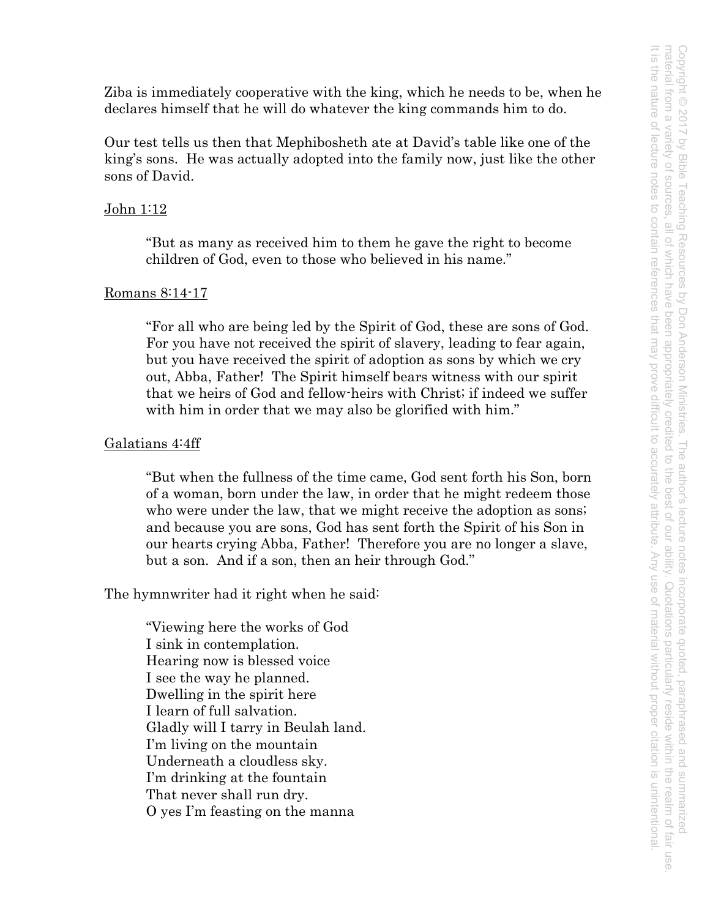Ziba is immediately cooperative with the king, which he needs to be, when he declares himself that he will do whatever the king commands him to do.

Our test tells us then that Mephibosheth ate at David's table like one of the king's sons. He was actually adopted into the family now, just like the other sons of David.

### John 1:12

"But as many as received him to them he gave the right to become children of God, even to those who believed in his name."

#### Romans 8:14-17

"For all who are being led by the Spirit of God, these are sons of God. For you have not received the spirit of slavery, leading to fear again, but you have received the spirit of adoption as sons by which we cry out, Abba, Father! The Spirit himself bears witness with our spirit that we heirs of God and fellow-heirs with Christ; if indeed we suffer with him in order that we may also be glorified with him."

#### Galatians 4:4ff

"But when the fullness of the time came, God sent forth his Son, born of a woman, born under the law, in order that he might redeem those who were under the law, that we might receive the adoption as sons; and because you are sons, God has sent forth the Spirit of his Son in our hearts crying Abba, Father! Therefore you are no longer a slave, but a son. And if a son, then an heir through God."

The hymnwriter had it right when he said:

"Viewing here the works of God I sink in contemplation. Hearing now is blessed voice I see the way he planned. Dwelling in the spirit here I learn of full salvation. Gladly will I tarry in Beulah land. I'm living on the mountain Underneath a cloudless sky. I'm drinking at the fountain That never shall run dry. O yes I'm feasting on the manna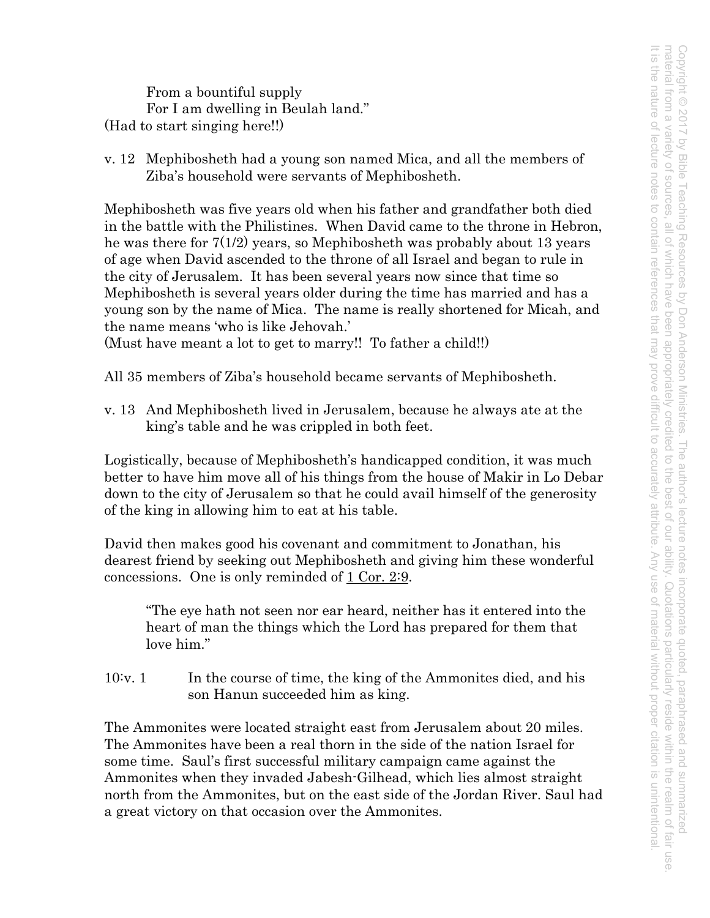From a bountiful supply For I am dwelling in Beulah land." (Had to start singing here!!)

v. 12 Mephibosheth had a young son named Mica, and all the members of Ziba's household were servants of Mephibosheth.

Mephibosheth was five years old when his father and grandfather both died in the battle with the Philistines. When David came to the throne in Hebron, he was there for 7(1/2) years, so Mephibosheth was probably about 13 years of age when David ascended to the throne of all Israel and began to rule in the city of Jerusalem. It has been several years now since that time so Mephibosheth is several years older during the time has married and has a young son by the name of Mica. The name is really shortened for Micah, and the name means 'who is like Jehovah.'

(Must have meant a lot to get to marry!! To father a child!!)

All 35 members of Ziba's household became servants of Mephibosheth.

v. 13 And Mephibosheth lived in Jerusalem, because he always ate at the king's table and he was crippled in both feet.

Logistically, because of Mephibosheth's handicapped condition, it was much better to have him move all of his things from the house of Makir in Lo Debar down to the city of Jerusalem so that he could avail himself of the generosity of the king in allowing him to eat at his table.

David then makes good his covenant and commitment to Jonathan, his dearest friend by seeking out Mephibosheth and giving him these wonderful concessions. One is only reminded of 1 Cor. 2:9.

"The eye hath not seen nor ear heard, neither has it entered into the heart of man the things which the Lord has prepared for them that love him."

10:v. 1 In the course of time, the king of the Ammonites died, and his son Hanun succeeded him as king.

The Ammonites were located straight east from Jerusalem about 20 miles. The Ammonites have been a real thorn in the side of the nation Israel for some time. Saul's first successful military campaign came against the Ammonites when they invaded Jabesh-Gilhead, which lies almost straight north from the Ammonites, but on the east side of the Jordan River. Saul had a great victory on that occasion over the Ammonites.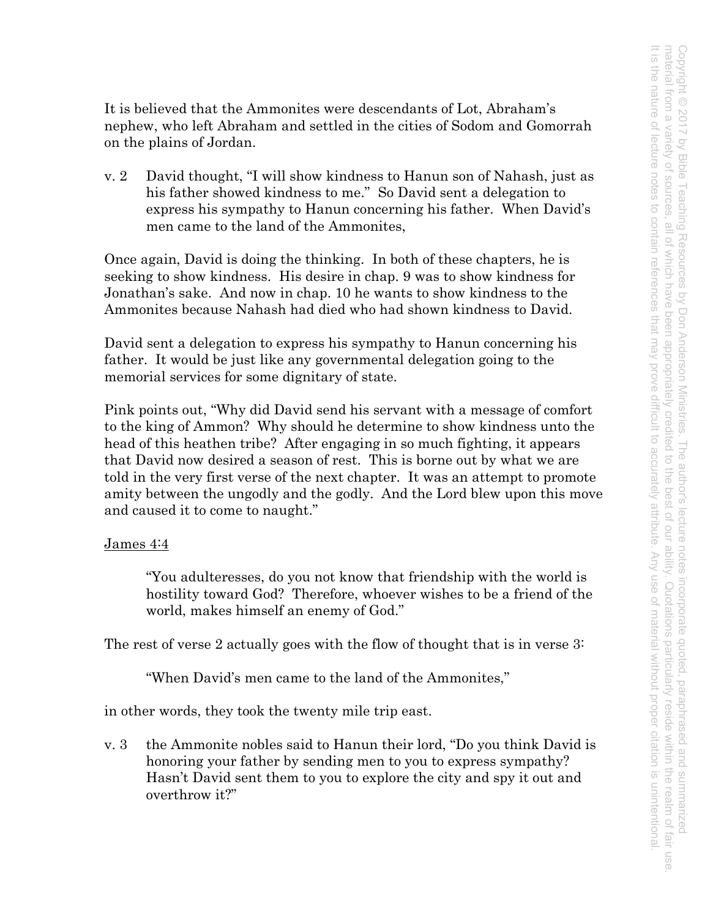It is believed that the Ammonites were descendants of Lot, Abraham's nephew, who left Abraham and settled in the cities of Sodom and Gomorrah on the plains of Jordan.

v. 2 David thought, "I will show kindness to Hanun son of Nahash, just as his father showed kindness to me." So David sent a delegation to express his sympathy to Hanun concerning his father. When David's men came to the land of the Ammonites,

Once again, David is doing the thinking. In both of these chapters, he is seeking to show kindness. His desire in chap. 9 was to show kindness for Jonathan's sake. And now in chap. 10 he wants to show kindness to the Ammonites because Nahash had died who had shown kindness to David.

David sent a delegation to express his sympathy to Hanun concerning his father. It would be just like any governmental delegation going to the memorial services for some dignitary of state.

Pink points out, "Why did David send his servant with a message of comfort to the king of Ammon? Why should he determine to show kindness unto the head of this heathen tribe? After engaging in so much fighting, it appears that David now desired a season of rest. This is borne out by what we are told in the very first verse of the next chapter. It was an attempt to promote amity between the ungodly and the godly. And the Lord blew upon this move and caused it to come to naught."

# James 4:4

"You adulteresses, do you not know that friendship with the world is hostility toward God? Therefore, whoever wishes to be a friend of the world, makes himself an enemy of God."

The rest of verse 2 actually goes with the flow of thought that is in verse 3:

"When David's men came to the land of the Ammonites,"

in other words, they took the twenty mile trip east.

v. 3 the Ammonite nobles said to Hanun their lord, "Do you think David is honoring your father by sending men to you to express sympathy? Hasn't David sent them to you to explore the city and spy it out and overthrow it?"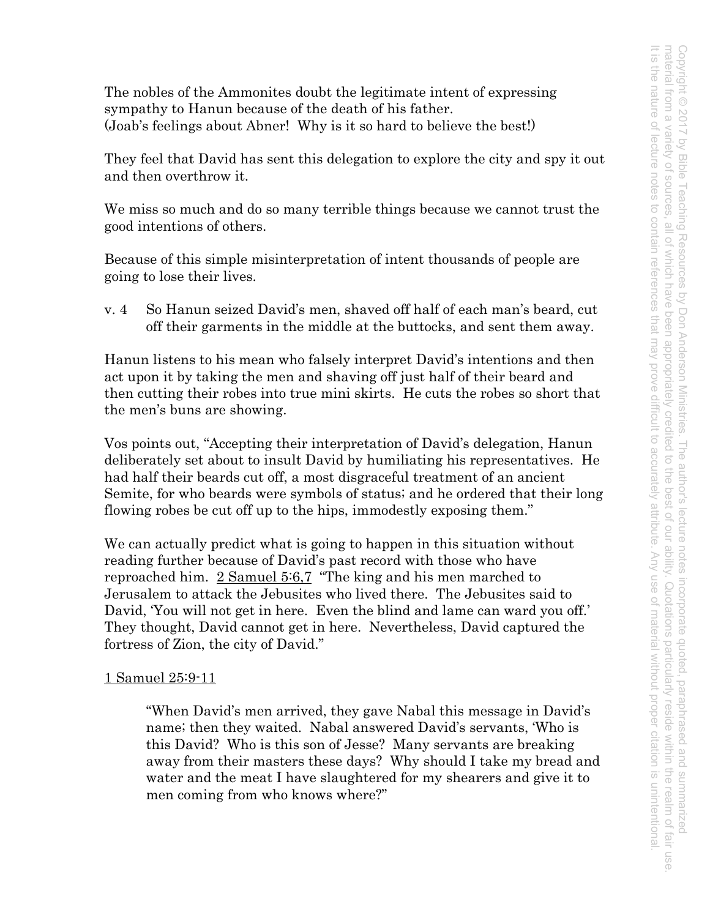The nobles of the Ammonites doubt the legitimate intent of expressing sympathy to Hanun because of the death of his father. (Joab's feelings about Abner! Why is it so hard to believe the best!)

They feel that David has sent this delegation to explore the city and spy it out and then overthrow it.

We miss so much and do so many terrible things because we cannot trust the good intentions of others.

Because of this simple misinterpretation of intent thousands of people are going to lose their lives.

v. 4 So Hanun seized David's men, shaved off half of each man's beard, cut off their garments in the middle at the buttocks, and sent them away.

Hanun listens to his mean who falsely interpret David's intentions and then act upon it by taking the men and shaving off just half of their beard and then cutting their robes into true mini skirts. He cuts the robes so short that the men's buns are showing.

Vos points out, "Accepting their interpretation of David's delegation, Hanun deliberately set about to insult David by humiliating his representatives. He had half their beards cut off, a most disgraceful treatment of an ancient Semite, for who beards were symbols of status; and he ordered that their long flowing robes be cut off up to the hips, immodestly exposing them."

We can actually predict what is going to happen in this situation without reading further because of David's past record with those who have reproached him. 2 Samuel 5:6,7 "The king and his men marched to Jerusalem to attack the Jebusites who lived there. The Jebusites said to David, 'You will not get in here. Even the blind and lame can ward you off.' They thought, David cannot get in here. Nevertheless, David captured the fortress of Zion, the city of David."

# 1 Samuel 25:9-11

"When David's men arrived, they gave Nabal this message in David's name; then they waited. Nabal answered David's servants, 'Who is this David? Who is this son of Jesse? Many servants are breaking away from their masters these days? Why should I take my bread and water and the meat I have slaughtered for my shearers and give it to men coming from who knows where?"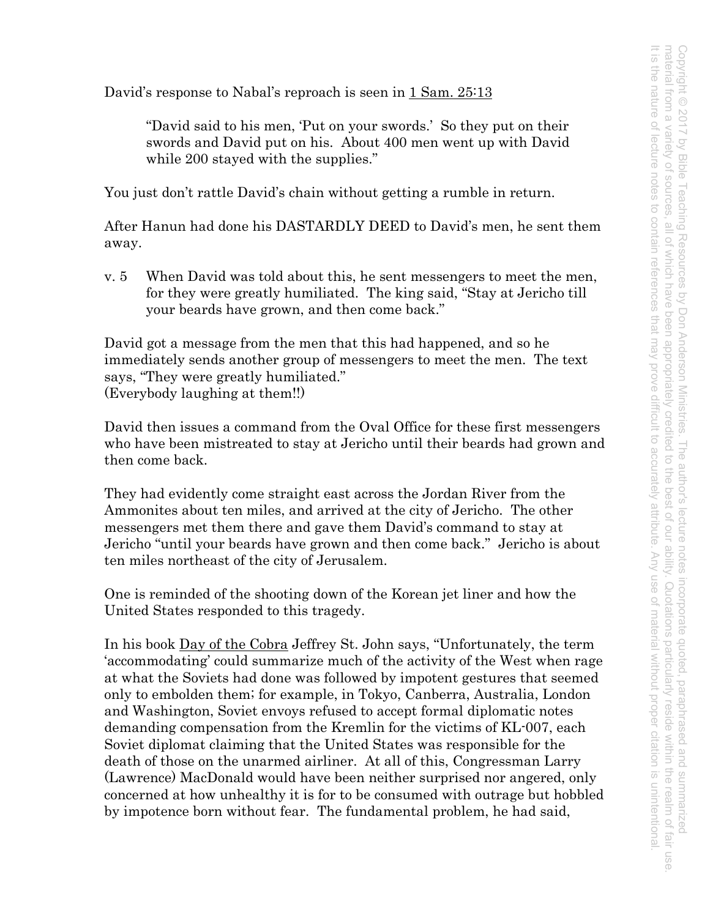David's response to Nabal's reproach is seen in 1 Sam. 25:13

"David said to his men, 'Put on your swords.' So they put on their swords and David put on his. About 400 men went up with David while 200 stayed with the supplies."

You just don't rattle David's chain without getting a rumble in return.

After Hanun had done his DASTARDLY DEED to David's men, he sent them away.

v. 5 When David was told about this, he sent messengers to meet the men, for they were greatly humiliated. The king said, "Stay at Jericho till your beards have grown, and then come back."

David got a message from the men that this had happened, and so he immediately sends another group of messengers to meet the men. The text says, "They were greatly humiliated." (Everybody laughing at them!!)

David then issues a command from the Oval Office for these first messengers who have been mistreated to stay at Jericho until their beards had grown and then come back.

They had evidently come straight east across the Jordan River from the Ammonites about ten miles, and arrived at the city of Jericho. The other messengers met them there and gave them David's command to stay at Jericho "until your beards have grown and then come back." Jericho is about ten miles northeast of the city of Jerusalem.

One is reminded of the shooting down of the Korean jet liner and how the United States responded to this tragedy.

In his book Day of the Cobra Jeffrey St. John says, "Unfortunately, the term 'accommodating' could summarize much of the activity of the West when rage at what the Soviets had done was followed by impotent gestures that seemed only to embolden them; for example, in Tokyo, Canberra, Australia, London and Washington, Soviet envoys refused to accept formal diplomatic notes demanding compensation from the Kremlin for the victims of KL-007, each Soviet diplomat claiming that the United States was responsible for the death of those on the unarmed airliner. At all of this, Congressman Larry (Lawrence) MacDonald would have been neither surprised nor angered, only concerned at how unhealthy it is for to be consumed with outrage but hobbled by impotence born without fear. The fundamental problem, he had said,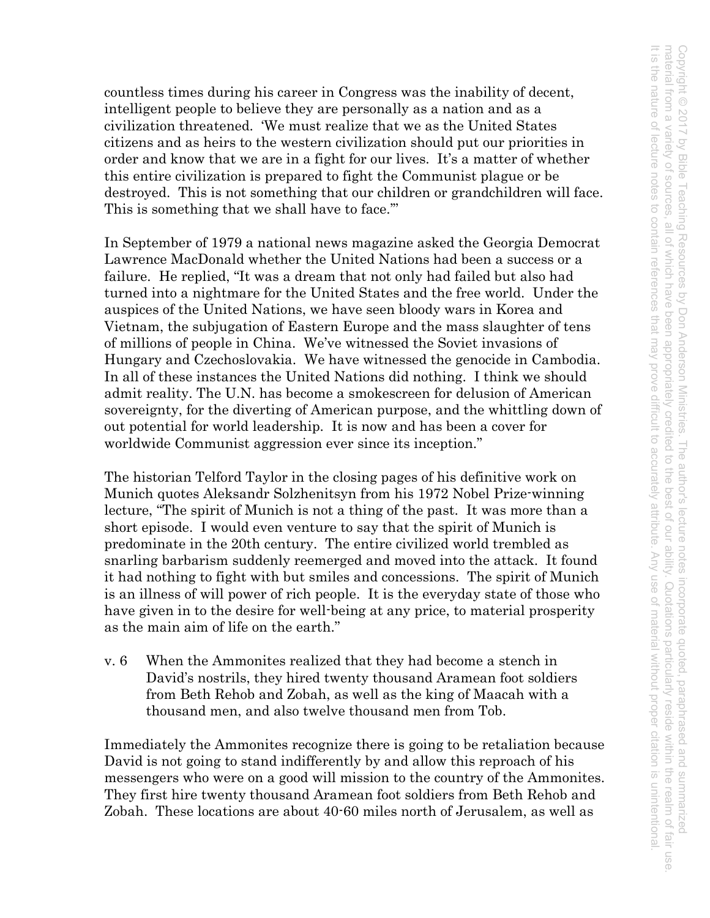Copyright © 2017 by Bible Teaching Resources by Don Anderson Ministries. The author's lecture notes incorporate quoted, paraphrased and summarized<br>material from a variety of sources, all of which have been appropriately cr It is the nature of lecture notes to contain references material from a variety of sources, all of the which have been appropriately credited to the best of courses, all of the intervalsing reside within the realm of fair use. Copyright © 2017 by Bible Teaching Resources by Don Anderson Ministries. The author's lecture notes incorporate quoted, paraphrased and summarized It is the nature of lecture notes to contain references that may prove difficult to accurately attribute. Any use of material without proper citation is unintentional.that may prove difficult to accurately attribute Any use of material without proper citation is unintentional

countless times during his career in Congress was the inability of decent, intelligent people to believe they are personally as a nation and as a civilization threatened. 'We must realize that we as the United States citizens and as heirs to the western civilization should put our priorities in order and know that we are in a fight for our lives. It's a matter of whether this entire civilization is prepared to fight the Communist plague or be destroyed. This is not something that our children or grandchildren will face. This is something that we shall have to face."

In September of 1979 a national news magazine asked the Georgia Democrat Lawrence MacDonald whether the United Nations had been a success or a failure. He replied, "It was a dream that not only had failed but also had turned into a nightmare for the United States and the free world. Under the auspices of the United Nations, we have seen bloody wars in Korea and Vietnam, the subjugation of Eastern Europe and the mass slaughter of tens of millions of people in China. We've witnessed the Soviet invasions of Hungary and Czechoslovakia. We have witnessed the genocide in Cambodia. In all of these instances the United Nations did nothing. I think we should admit reality. The U.N. has become a smokescreen for delusion of American sovereignty, for the diverting of American purpose, and the whittling down of out potential for world leadership. It is now and has been a cover for worldwide Communist aggression ever since its inception."

The historian Telford Taylor in the closing pages of his definitive work on Munich quotes Aleksandr Solzhenitsyn from his 1972 Nobel Prize-winning lecture, "The spirit of Munich is not a thing of the past. It was more than a short episode. I would even venture to say that the spirit of Munich is predominate in the 20th century. The entire civilized world trembled as snarling barbarism suddenly reemerged and moved into the attack. It found it had nothing to fight with but smiles and concessions. The spirit of Munich is an illness of will power of rich people. It is the everyday state of those who have given in to the desire for well-being at any price, to material prosperity as the main aim of life on the earth."

v. 6 When the Ammonites realized that they had become a stench in David's nostrils, they hired twenty thousand Aramean foot soldiers from Beth Rehob and Zobah, as well as the king of Maacah with a thousand men, and also twelve thousand men from Tob.

Immediately the Ammonites recognize there is going to be retaliation because David is not going to stand indifferently by and allow this reproach of his messengers who were on a good will mission to the country of the Ammonites. They first hire twenty thousand Aramean foot soldiers from Beth Rehob and Zobah. These locations are about 40-60 miles north of Jerusalem, as well as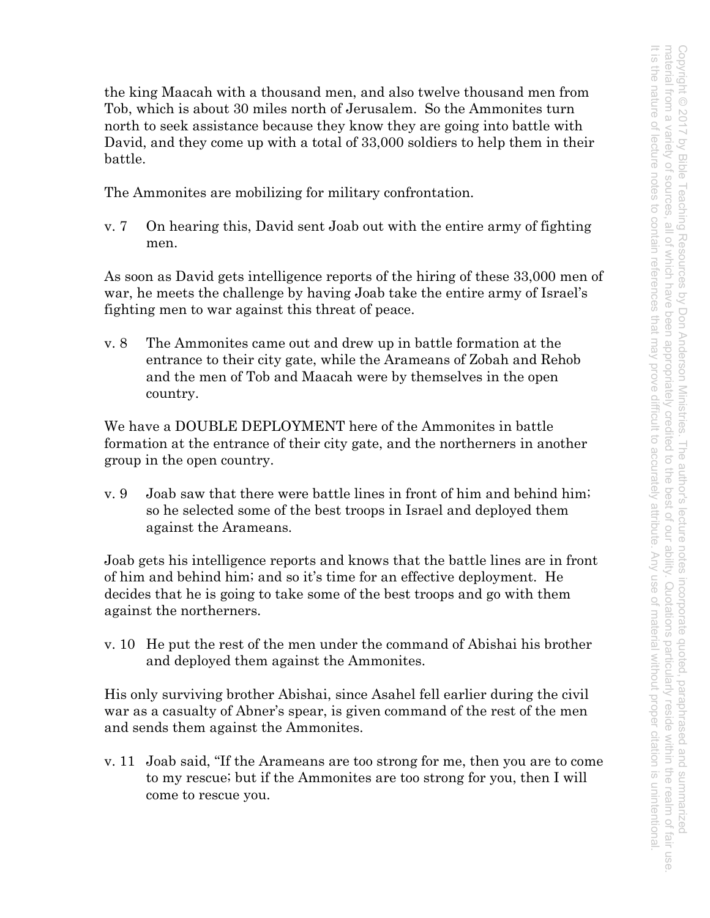the king Maacah with a thousand men, and also twelve thousand men from Tob, which is about 30 miles north of Jerusalem. So the Ammonites turn north to seek assistance because they know they are going into battle with David, and they come up with a total of 33,000 soldiers to help them in their battle.

The Ammonites are mobilizing for military confrontation.

v. 7 On hearing this, David sent Joab out with the entire army of fighting men.

As soon as David gets intelligence reports of the hiring of these 33,000 men of war, he meets the challenge by having Joab take the entire army of Israel's fighting men to war against this threat of peace.

v. 8 The Ammonites came out and drew up in battle formation at the entrance to their city gate, while the Arameans of Zobah and Rehob and the men of Tob and Maacah were by themselves in the open country.

We have a DOUBLE DEPLOYMENT here of the Ammonites in battle formation at the entrance of their city gate, and the northerners in another group in the open country.

v. 9 Joab saw that there were battle lines in front of him and behind him; so he selected some of the best troops in Israel and deployed them against the Arameans.

Joab gets his intelligence reports and knows that the battle lines are in front of him and behind him; and so it's time for an effective deployment. He decides that he is going to take some of the best troops and go with them against the northerners.

v. 10 He put the rest of the men under the command of Abishai his brother and deployed them against the Ammonites.

His only surviving brother Abishai, since Asahel fell earlier during the civil war as a casualty of Abner's spear, is given command of the rest of the men and sends them against the Ammonites.

v. 11 Joab said, "If the Arameans are too strong for me, then you are to come to my rescue; but if the Ammonites are too strong for you, then I will come to rescue you.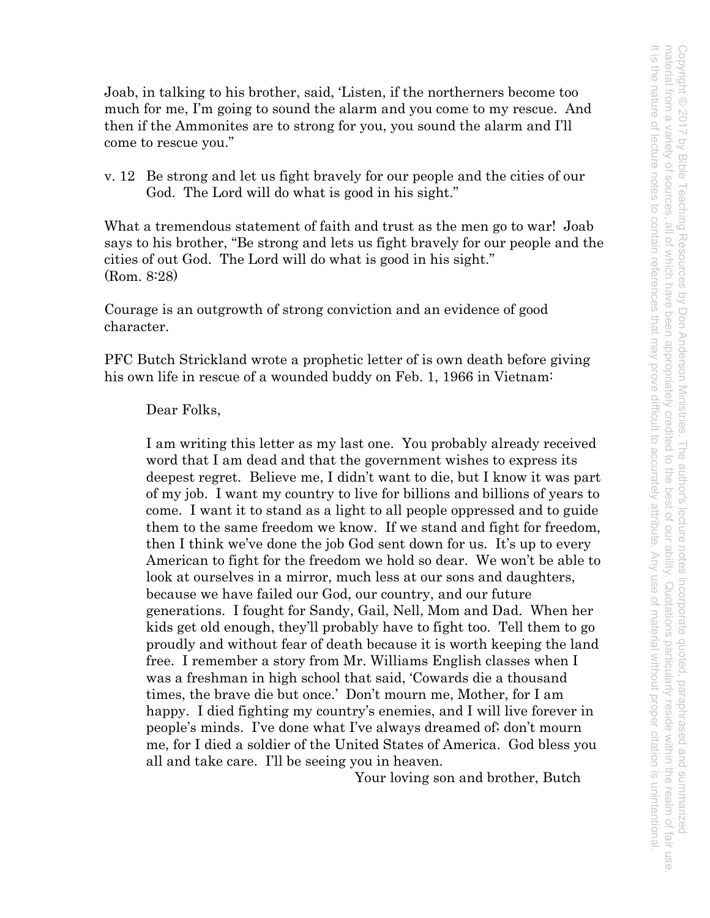Joab, in talking to his brother, said, 'Listen, if the northerners become too much for me, I'm going to sound the alarm and you come to my rescue. And then if the Ammonites are to strong for you, you sound the alarm and I'll come to rescue you."

v. 12 Be strong and let us fight bravely for our people and the cities of our God. The Lord will do what is good in his sight."

What a tremendous statement of faith and trust as the men go to war! Joab says to his brother, "Be strong and lets us fight bravely for our people and the cities of out God. The Lord will do what is good in his sight." (Rom. 8:28)

Courage is an outgrowth of strong conviction and an evidence of good character.

PFC Butch Strickland wrote a prophetic letter of is own death before giving his own life in rescue of a wounded buddy on Feb. 1, 1966 in Vietnam:

## Dear Folks,

I am writing this letter as my last one. You probably already received word that I am dead and that the government wishes to express its deepest regret. Believe me, I didn't want to die, but I know it was part of my job. I want my country to live for billions and billions of years to come. I want it to stand as a light to all people oppressed and to guide them to the same freedom we know. If we stand and fight for freedom, then I think we've done the job God sent down for us. It's up to every American to fight for the freedom we hold so dear. We won't be able to look at ourselves in a mirror, much less at our sons and daughters, because we have failed our God, our country, and our future generations. I fought for Sandy, Gail, Nell, Mom and Dad. When her kids get old enough, they'll probably have to fight too. Tell them to go proudly and without fear of death because it is worth keeping the land free. I remember a story from Mr. Williams English classes when I was a freshman in high school that said, 'Cowards die a thousand times, the brave die but once.' Don't mourn me, Mother, for I am happy. I died fighting my country's enemies, and I will live forever in people's minds. I've done what I've always dreamed of; don't mourn me, for I died a soldier of the United States of America. God bless you all and take care. I'll be seeing you in heaven.

Your loving son and brother, Butch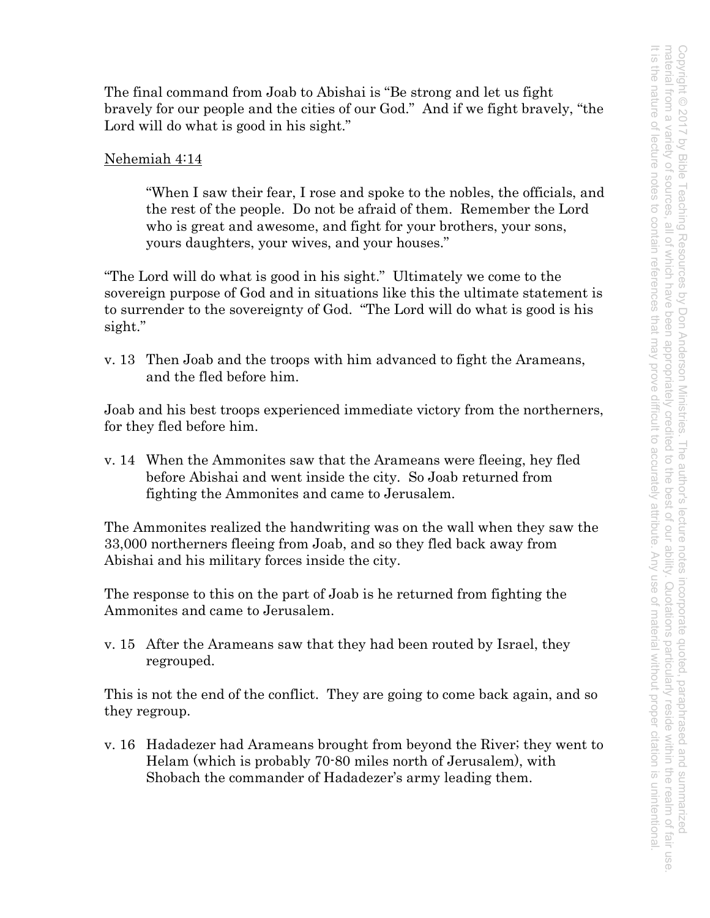The final command from Joab to Abishai is "Be strong and let us fight bravely for our people and the cities of our God." And if we fight bravely, "the Lord will do what is good in his sight."

## Nehemiah 4:14

"When I saw their fear, I rose and spoke to the nobles, the officials, and the rest of the people. Do not be afraid of them. Remember the Lord who is great and awesome, and fight for your brothers, your sons, yours daughters, your wives, and your houses."

"The Lord will do what is good in his sight." Ultimately we come to the sovereign purpose of God and in situations like this the ultimate statement is to surrender to the sovereignty of God. "The Lord will do what is good is his sight."

v. 13 Then Joab and the troops with him advanced to fight the Arameans, and the fled before him.

Joab and his best troops experienced immediate victory from the northerners, for they fled before him.

v. 14 When the Ammonites saw that the Arameans were fleeing, hey fled before Abishai and went inside the city. So Joab returned from fighting the Ammonites and came to Jerusalem.

The Ammonites realized the handwriting was on the wall when they saw the 33,000 northerners fleeing from Joab, and so they fled back away from Abishai and his military forces inside the city.

The response to this on the part of Joab is he returned from fighting the Ammonites and came to Jerusalem.

v. 15 After the Arameans saw that they had been routed by Israel, they regrouped.

This is not the end of the conflict. They are going to come back again, and so they regroup.

v. 16 Hadadezer had Arameans brought from beyond the River; they went to Helam (which is probably 70-80 miles north of Jerusalem), with Shobach the commander of Hadadezer's army leading them.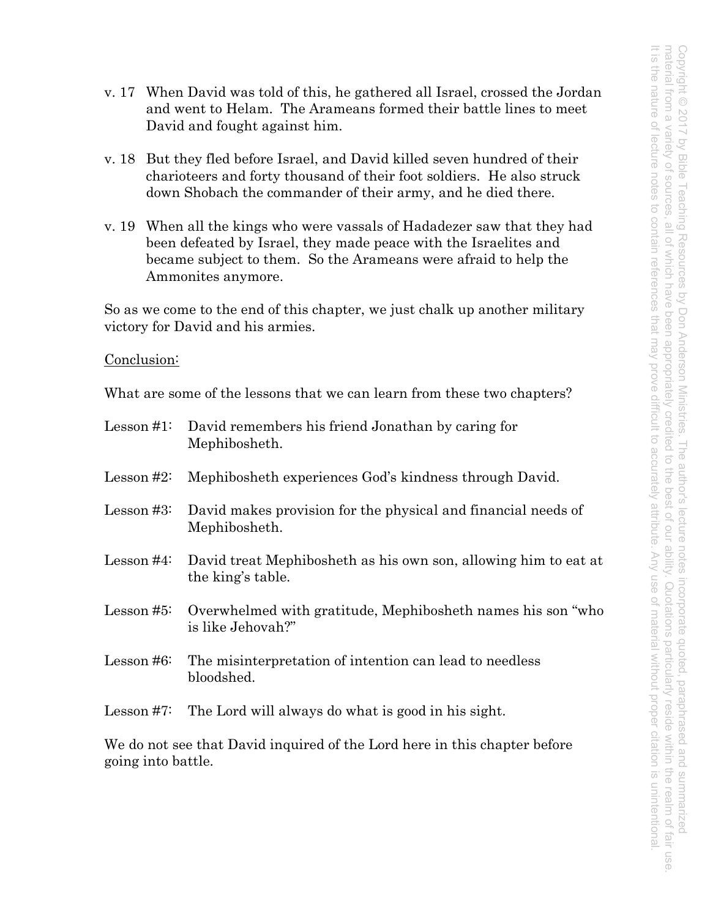- v. 17 When David was told of this, he gathered all Israel, crossed the Jordan and went to Helam. The Arameans formed their battle lines to meet David and fought against him.
- v. 18 But they fled before Israel, and David killed seven hundred of their charioteers and forty thousand of their foot soldiers. He also struck down Shobach the commander of their army, and he died there.
- v. 19 When all the kings who were vassals of Hadadezer saw that they had been defeated by Israel, they made peace with the Israelites and became subject to them. So the Arameans were afraid to help the Ammonites anymore.

So as we come to the end of this chapter, we just chalk up another military victory for David and his armies.

Conclusion:

What are some of the lessons that we can learn from these two chapters?

|            | Lesson #1: David remembers his friend Jonathan by caring for<br>Mephibosheth.        |
|------------|--------------------------------------------------------------------------------------|
| Lesson #2: | Mephibosheth experiences God's kindness through David.                               |
| Lesson #3: | David makes provision for the physical and financial needs of<br>Mephibosheth.       |
| Lesson #4: | David treat Mephibosheth as his own son, allowing him to eat at<br>the king's table. |
| Lesson #5: | Overwhelmed with gratitude, Mephibosheth names his son "who"<br>is like Jehovah?"    |
| Lesson #6: | The misinterpretation of intention can lead to needless<br>bloodshed.                |
|            | Lesson $#7$ : The Lord will always do what is good in his sight.                     |
|            |                                                                                      |

We do not see that David inquired of the Lord here in this chapter before going into battle.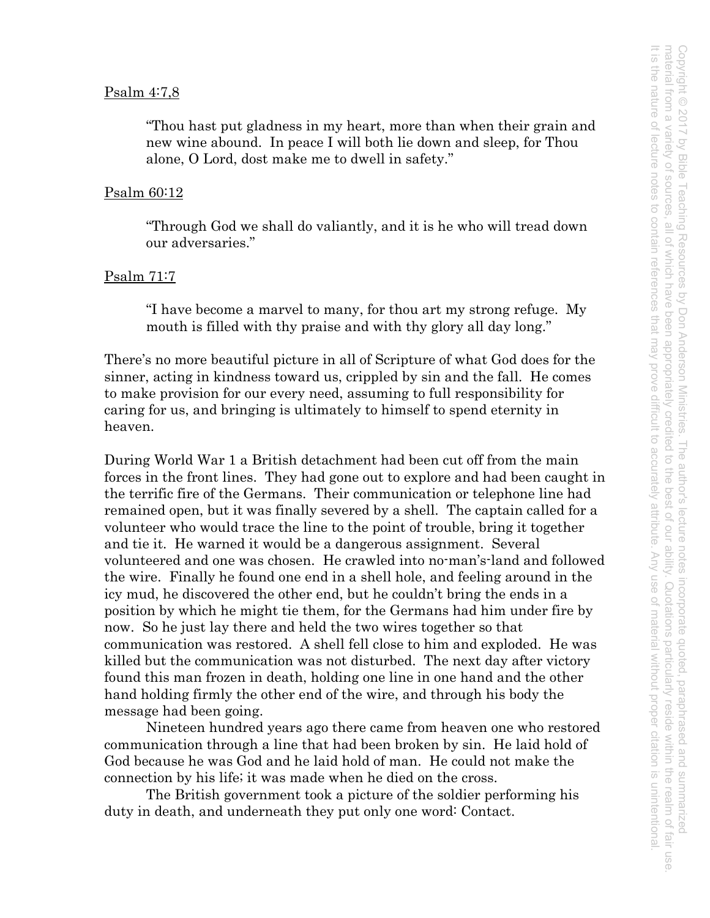#### Psalm 4:7,8

"Thou hast put gladness in my heart, more than when their grain and new wine abound. In peace I will both lie down and sleep, for Thou alone, O Lord, dost make me to dwell in safety."

#### Psalm 60:12

"Through God we shall do valiantly, and it is he who will tread down our adversaries."

#### Psalm 71:7

"I have become a marvel to many, for thou art my strong refuge. My mouth is filled with thy praise and with thy glory all day long."

There's no more beautiful picture in all of Scripture of what God does for the sinner, acting in kindness toward us, crippled by sin and the fall. He comes to make provision for our every need, assuming to full responsibility for caring for us, and bringing is ultimately to himself to spend eternity in heaven.

During World War 1 a British detachment had been cut off from the main forces in the front lines. They had gone out to explore and had been caught in the terrific fire of the Germans. Their communication or telephone line had remained open, but it was finally severed by a shell. The captain called for a volunteer who would trace the line to the point of trouble, bring it together and tie it. He warned it would be a dangerous assignment. Several volunteered and one was chosen. He crawled into no-man's-land and followed the wire. Finally he found one end in a shell hole, and feeling around in the icy mud, he discovered the other end, but he couldn't bring the ends in a position by which he might tie them, for the Germans had him under fire by now. So he just lay there and held the two wires together so that communication was restored. A shell fell close to him and exploded. He was killed but the communication was not disturbed. The next day after victory found this man frozen in death, holding one line in one hand and the other hand holding firmly the other end of the wire, and through his body the message had been going.

Nineteen hundred years ago there came from heaven one who restored communication through a line that had been broken by sin. He laid hold of God because he was God and he laid hold of man. He could not make the connection by his life; it was made when he died on the cross.

The British government took a picture of the soldier performing his duty in death, and underneath they put only one word: Contact.